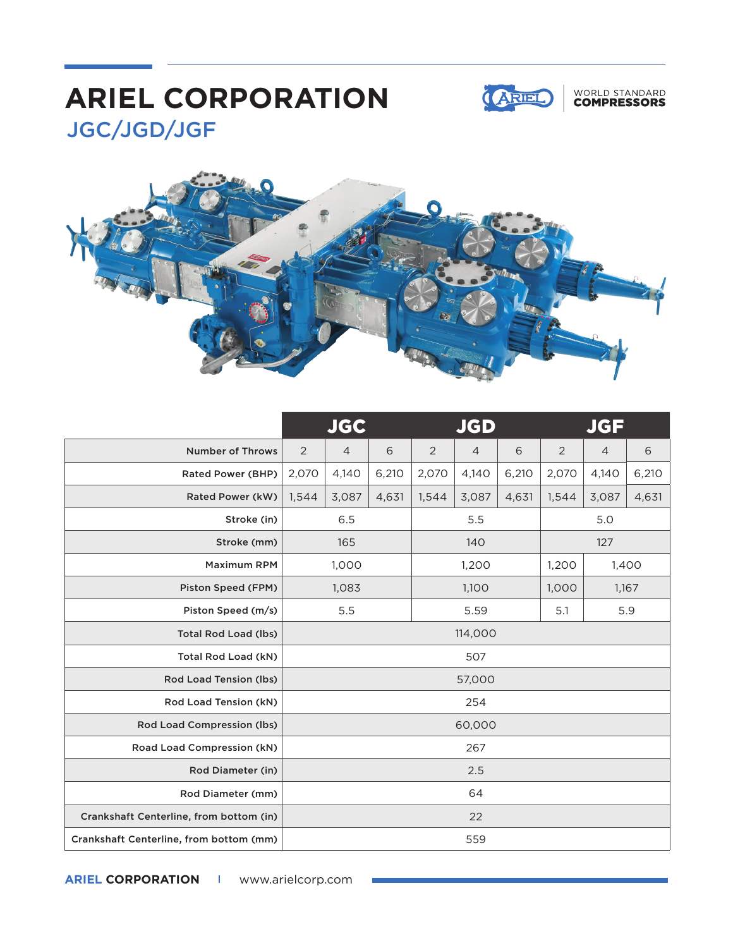## JGC/JGD/JGF **ARIEL CORPORATION**



### WORLD STANDARD<br>**COMPRESSORS**



|                                         | <b>JGC</b>     |                |       | <b>JGD</b>     |                |       | <b>JGF</b>     |                |       |
|-----------------------------------------|----------------|----------------|-------|----------------|----------------|-------|----------------|----------------|-------|
| <b>Number of Throws</b>                 | $\overline{2}$ | $\overline{4}$ | 6     | $\overline{2}$ | $\overline{4}$ | 6     | $\overline{2}$ | $\overline{4}$ | 6     |
| Rated Power (BHP)                       | 2,070          | 4,140          | 6,210 | 2,070          | 4,140          | 6,210 | 2,070          | 4,140          | 6,210 |
| Rated Power (kW)                        | 1,544          | 3,087          | 4,631 | 1,544          | 3,087          | 4,631 | 1,544          | 3,087          | 4,631 |
| Stroke (in)                             | 6.5            |                |       | 5.5            |                |       | 5.0            |                |       |
| Stroke (mm)                             | 165            |                |       | 140            |                |       | 127            |                |       |
| <b>Maximum RPM</b>                      | 1,000          |                |       | 1,200          |                |       | 1,200          | 1,400          |       |
| Piston Speed (FPM)                      | 1,083          |                |       | 1,100          |                |       | 1,000          | 1,167          |       |
| Piston Speed (m/s)                      | 5.5            |                |       | 5.59           |                |       | 5.1            | 5.9            |       |
| <b>Total Rod Load (lbs)</b>             | 114,000        |                |       |                |                |       |                |                |       |
| Total Rod Load (kN)                     | 507            |                |       |                |                |       |                |                |       |
| Rod Load Tension (lbs)                  | 57,000         |                |       |                |                |       |                |                |       |
| Rod Load Tension (kN)                   |                | 254            |       |                |                |       |                |                |       |
| Rod Load Compression (lbs)              | 60,000         |                |       |                |                |       |                |                |       |
| Road Load Compression (kN)              | 267            |                |       |                |                |       |                |                |       |
| <b>Rod Diameter (in)</b>                | 2.5            |                |       |                |                |       |                |                |       |
| Rod Diameter (mm)                       | 64             |                |       |                |                |       |                |                |       |
| Crankshaft Centerline, from bottom (in) |                | 22             |       |                |                |       |                |                |       |
| Crankshaft Centerline, from bottom (mm) | 559            |                |       |                |                |       |                |                |       |

**ARIEL CORPORATION I** www.arielcorp.com